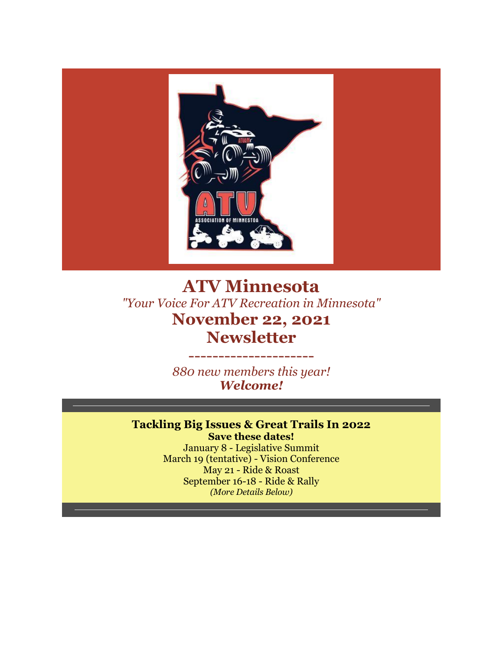

## **ATV Minnesota** *"Your Voice For ATV Recreation in Minnesota"* **November 22, 2021 Newsletter**

*880 new members this year! Welcome!*

---------------------

#### **Tackling Big Issues & Great Trails In 2022 Save these dates!**

January 8 - Legislative Summit March 19 (tentative) - Vision Conference May 21 - Ride & Roast September 16-18 - Ride & Rally *(More Details Below)*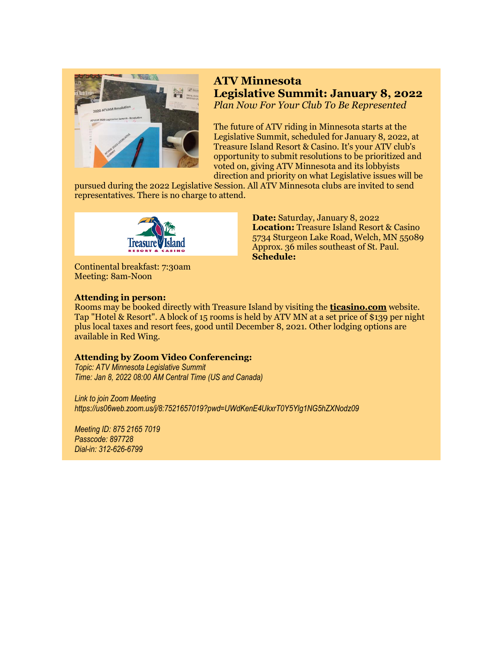

## **ATV Minnesota Legislative Summit: January 8, 2022** *Plan Now For Your Club To Be Represented*

The future of ATV riding in Minnesota starts at the Legislative Summit, scheduled for January 8, 2022, at Treasure Island Resort & Casino. It's your ATV club's opportunity to submit resolutions to be prioritized and voted on, giving ATV Minnesota and its lobbyists direction and priority on what Legislative issues will be

pursued during the 2022 Legislative Session. All ATV Minnesota clubs are invited to send representatives. There is no charge to attend.



Continental breakfast: 7:30am Meeting: 8am-Noon

#### **Attending in person:**

**Date:** Saturday, January 8, 2022 **Location:** Treasure Island Resort & Casino 5734 Sturgeon Lake Road, Welch, MN 55089 Approx. 36 miles southeast of St. Paul. **Schedule:**

Rooms may be booked directly with Treasure Island by visiting the **[ticasino.com](https://r20.rs6.net/tn.jsp?f=001tenV5wXsg6MZktTz21AkYGO0V-YEgXqh8Z4Uco9dtnPTCFGhM2k7rc7-2GOuu0bwse_Hxd9wxRGunSXp3BC3igKK0Vr_NM0FJ-OKwd08KRvEB2OIHFvg1YrxBCbR3ugH_H7lue9hRvg=&c=koaO4B_b1SVQPxA1F4FJEw4Bxu1Jhx7gKVb-M51ix5wgi0lVrSLFRA==&ch=uMP_OlNZvnwNR8TSfqDBDf-Rk-FC4UBTbuTHYXl74VSAyuZMgvWoYA==)** website. Tap "Hotel & Resort". A block of 15 rooms is held by ATV MN at a set price of \$139 per night plus local taxes and resort fees, good until December 8, 2021. Other lodging options are available in Red Wing.

#### **Attending by Zoom Video Conferencing:**

*Topic: ATV Minnesota Legislative Summit Time: Jan 8, 2022 08:00 AM Central Time (US and Canada)*

*Link to join Zoom Meeting https://us06web.zoom.us/j/8:7521657019?pwd=UWdKenE4UkxrT0Y5Ylg1NG5hZXNodz09*

*Meeting ID: 875 2165 7019 Passcode: 897728 Dial-in: 312-626-6799*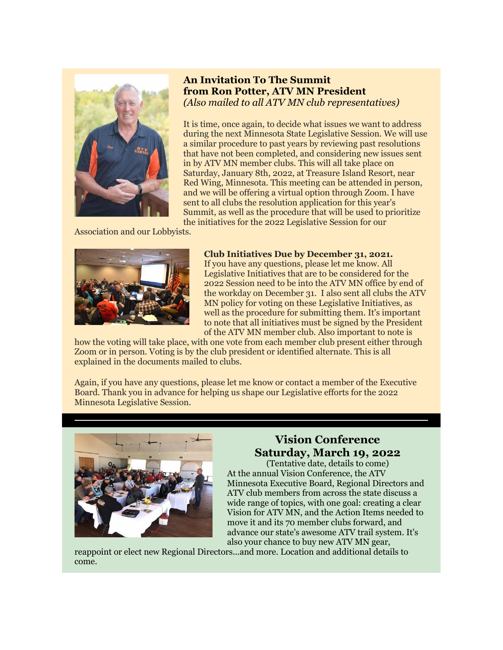

#### **An Invitation To The Summit from Ron Potter, ATV MN President** *(Also mailed to all ATV MN club representatives)*

It is time, once again, to decide what issues we want to address during the next Minnesota State Legislative Session. We will use a similar procedure to past years by reviewing past resolutions that have not been completed, and considering new issues sent in by ATV MN member clubs. This will all take place on Saturday, January 8th, 2022, at Treasure Island Resort, near Red Wing, Minnesota. This meeting can be attended in person, and we will be offering a virtual option through Zoom. I have sent to all clubs the resolution application for this year's Summit, as well as the procedure that will be used to prioritize the initiatives for the 2022 Legislative Session for our

Association and our Lobbyists.



#### **Club Initiatives Due by December 31, 2021.**

If you have any questions, please let me know. All Legislative Initiatives that are to be considered for the 2022 Session need to be into the ATV MN office by end of the workday on December 31. I also sent all clubs the ATV MN policy for voting on these Legislative Initiatives, as well as the procedure for submitting them. It's important to note that all initiatives must be signed by the President of the ATV MN member club. Also important to note is

how the voting will take place, with one vote from each member club present either through Zoom or in person. Voting is by the club president or identified alternate. This is all explained in the documents mailed to clubs.

Again, if you have any questions, please let me know or contact a member of the Executive Board. Thank you in advance for helping us shape our Legislative efforts for the 2022 Minnesota Legislative Session.



## **Vision Conference Saturday, March 19, 2022**

(Tentative date, details to come) At the annual Vision Conference, the ATV Minnesota Executive Board, Regional Directors and ATV club members from across the state discuss a wide range of topics, with one goal: creating a clear Vision for ATV MN, and the Action Items needed to move it and its 70 member clubs forward, and advance our state's awesome ATV trail system. It's also your chance to buy new ATV MN gear,

reappoint or elect new Regional Directors...and more. Location and additional details to come.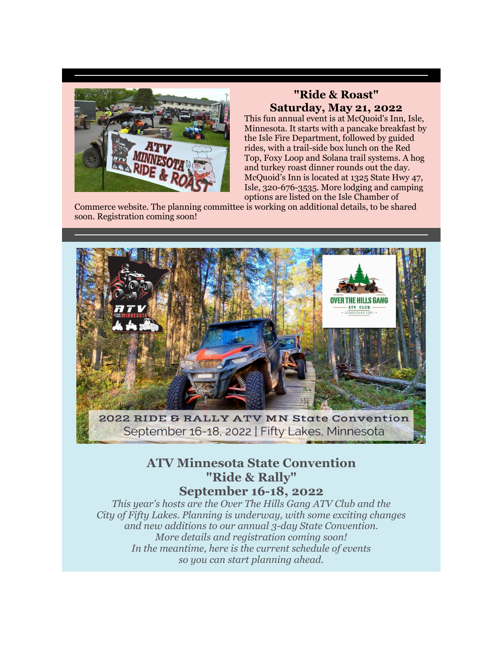

## **"Ride & Roast" Saturday, May 21, 2022**

This fun annual event is at McQuoid's Inn, Isle, Minnesota. It starts with a pancake breakfast by the Isle Fire Department, followed by guided rides, with a trail-side box lunch on the Red Top, Foxy Loop and Solana trail systems. A hog and turkey roast dinner rounds out the day. McQuoid's Inn is located at 1325 State Hwy 47, Isle, 320-676-3535. More lodging and camping options are listed on the Isle Chamber of

Commerce website. The planning committee is working on additional details, to be shared soon. Registration coming soon!



# September 16-18, 2022 | Fifty Lakes, Minnesota

## **ATV Minnesota State Convention "Ride & Rally" September 16-18, 2022**

*This year's hosts are the Over The Hills Gang ATV Club and the City of Fifty Lakes. Planning is underway, with some exciting changes and new additions to our annual 3-day State Convention. More details and registration coming soon! In the meantime, here is the current schedule of events so you can start planning ahead.*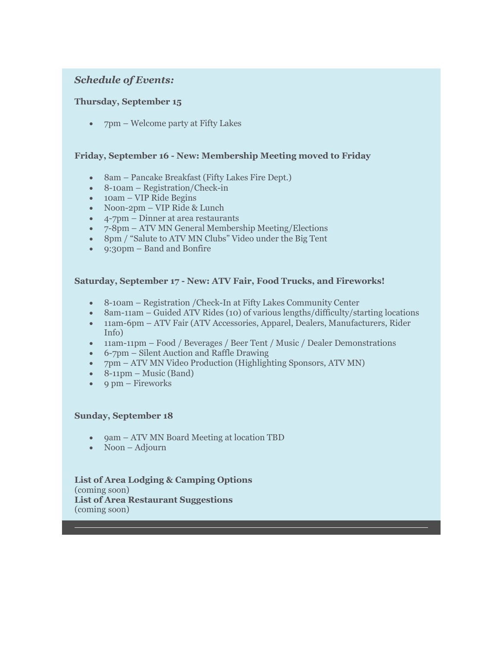#### *Schedule of Events:*

#### **Thursday, September 15**

• 7pm – Welcome party at Fifty Lakes

#### **Friday, September 16 - New: Membership Meeting moved to Friday**

- 8am Pancake Breakfast (Fifty Lakes Fire Dept.)
- 8-10am Registration/Check-in
- 10am VIP Ride Begins
- Noon-2pm VIP Ride & Lunch
- 4-7pm Dinner at area restaurants
- 7-8pm ATV MN General Membership Meeting/Elections
- 8pm / "Salute to ATV MN Clubs" Video under the Big Tent
- 9:30pm Band and Bonfire

#### **Saturday, September 17 - New: ATV Fair, Food Trucks, and Fireworks!**

- 8-10am Registration /Check-In at Fifty Lakes Community Center
- 8am-11am Guided ATV Rides (10) of various lengths/difficulty/starting locations
- 11am-6pm ATV Fair (ATV Accessories, Apparel, Dealers, Manufacturers, Rider Info)
- 11am-11pm Food / Beverages / Beer Tent / Music / Dealer Demonstrations
- 6-7pm Silent Auction and Raffle Drawing
- 7pm ATV MN Video Production (Highlighting Sponsors, ATV MN)
- $\bullet$  8-11pm Music (Band)
- $\bullet$  9 pm Fireworks

#### **Sunday, September 18**

- 9am ATV MN Board Meeting at location TBD
- Noon Adjourn

#### **List of Area Lodging & Camping Options** (coming soon) **List of Area Restaurant Suggestions** (coming soon)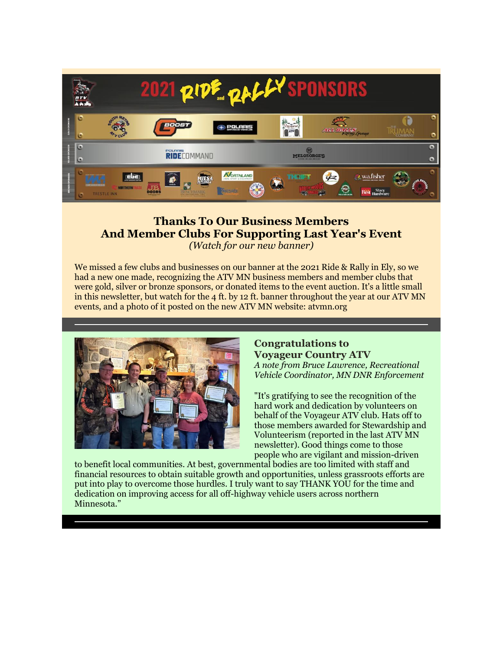

### **Thanks To Our Business Members And Member Clubs For Supporting Last Year's Event** *(Watch for our new banner)*

We missed a few clubs and businesses on our banner at the 2021 Ride & Rally in Ely, so we had a new one made, recognizing the ATV MN business members and member clubs that were gold, silver or bronze sponsors, or donated items to the event auction. It's a little small in this newsletter, but watch for the 4 ft. by 12 ft. banner throughout the year at our ATV MN events, and a photo of it posted on the new ATV MN website: atvmn.org



#### **Congratulations to Voyageur Country ATV** *A note from Bruce Lawrence, Recreational*

*Vehicle Coordinator, MN DNR Enforcement*

"It's gratifying to see the recognition of the hard work and dedication by volunteers on behalf of the Voyageur ATV club. Hats off to those members awarded for Stewardship and Volunteerism (reported in the last ATV MN newsletter). Good things come to those people who are vigilant and mission-driven

to benefit local communities. At best, governmental bodies are too limited with staff and financial resources to obtain suitable growth and opportunities, unless grassroots efforts are put into play to overcome those hurdles. I truly want to say THANK YOU for the time and dedication on improving access for all off-highway vehicle users across northern Minnesota."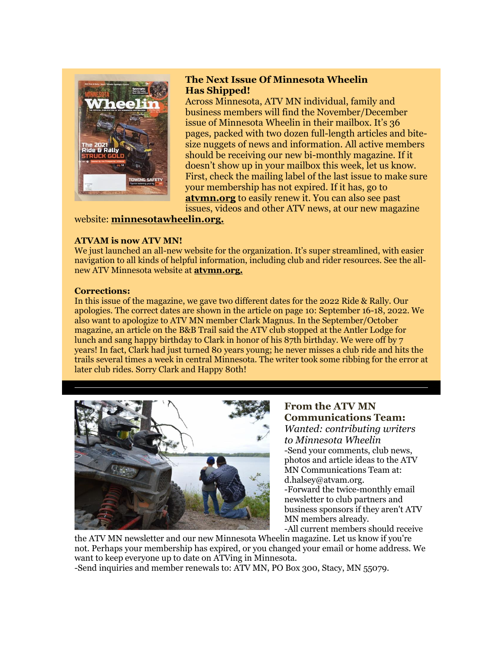

#### **The Next Issue Of Minnesota Wheelin Has Shipped!**

Across Minnesota, ATV MN individual, family and business members will find the November/December issue of Minnesota Wheelin in their mailbox. It's 36 pages, packed with two dozen full-length articles and bitesize nuggets of news and information. All active members should be receiving our new bi-monthly magazine. If it doesn't show up in your mailbox this week, let us know. First, check the mailing label of the last issue to make sure your membership has not expired. If it has, go to **[atvmn.org](https://r20.rs6.net/tn.jsp?f=001tenV5wXsg6MZktTz21AkYGO0V-YEgXqh8Z4Uco9dtnPTCFGhM2k7rc7-2GOuu0bwQ6xV5yhgTXiPAYP0kLYt2hft8jRX_4tt_4bTgmgqxYXyWEpRVcd6PY494W4eJDId6PXBABwMgxQU8GPCxG0QdZJU9mwtuFucsVBAa6Ho6oRicTuNGLUMkBEteqRQFtQMoZK80TtvuRzH_lMC_Q0gJAmh3LvTqYzCdaF8xCcjvhqqp380noVDs4KF27-UXLXjMkM2TY7ImXYAwATdlfmF0fvEng5jFQk2tmKE0XPhWi0u9ymcxMaS9Wuu9HcR_uTj5p3yEQRxsg01lH-JQV0NTEXVWGWJ7fHwglPrebAaBWI2MkmKcMT2De4J_3vSLcD3g5P0gXRKaOVTiTAY7S3uvXCiFDYMzHbJJalW2KICk6I9TO92jsGCR7HOk4CemD6MPZkbWxWxM-fyx-Zc3DhM7f1NgRuzhflWXRo4Sf2Yq-EY_Nemfy2IjYgJASkuk3xKXJT2DftoeMmTBz8R5pOP6etiUTVpykNeR7fMyaPW8UdcHCUtJIKcQDXw9774JeZ8YFhj2MYl54pxYeFLKRXkNXzoDuTfOQUlARhMENXuRFrsDkOxR-GVyOofa9tXaN_xZjx-26D_agknnv8t8lMXON7BwRnmdvKyUPO1dn_epscYbLUr2gKNcBcoRV7c3sXm1dP4Axs_PDG2BwDfetEHSRrmIy5llUQljcaBFApzNSLXnsqAIqstX4mHX2TtVxcmH0Sn1nYoPjIhiLxDKKh0AHblZrOGlofMxcdsf2fIlnA=&c=koaO4B_b1SVQPxA1F4FJEw4Bxu1Jhx7gKVb-M51ix5wgi0lVrSLFRA==&ch=uMP_OlNZvnwNR8TSfqDBDf-Rk-FC4UBTbuTHYXl74VSAyuZMgvWoYA==)** to easily renew it. You can also see past issues, videos and other ATV news, at our new magazine

#### website: **[minnesotawheelin.org.](https://r20.rs6.net/tn.jsp?f=001tenV5wXsg6MZktTz21AkYGO0V-YEgXqh8Z4Uco9dtnPTCFGhM2k7rc7-2GOuu0bwM7Me4uv9rmHvH1O713BwYivLyp4UhaOhDN_1HYZxHZllYJL5Zg8NFyjJWUHCqPD-qxnKx7fQovQWKaEBortENi3ZlTwg4BM1-CVGX87CMJgABLDwVumAv1U3-Mv-z6OH1NYi8u3ZU8e4rjQXR1PUMmcqnASBxennaFIwbTHaXYmt40mddGykqAVdPEuLDHoWVlzBbetmebmJOV7hBQADqmaZv5uXxGV1VbnWqm1ZqGLaM46gJXXRkfxecvOkvjjvHF9ACx1YipTa4D3q2hRKpA9XlI1LrX8VeHKJE7y9uA-39cbN_iJPHDRZ8PVsaAn4PXHTIstfqoCLAWqmc73lXuP4DekR3NTqvn8Ad3Bb30Z01C9mlEuSLKfpT_Kud-8djA48s-AYwywH7JGpXS1jK01yBNMjXTlIxT4xewGnHXUUclVtkKOwaVtkJu-HoKtrAN-zFbwBSvaCiT3TYD7bKLwm-rYW9TQTz2ceKsLCbi1eI1V8FNaCKWTKc5L9UM4JQEXsg-wHGpyH37c93mPVofDk7DUU97gLIe8QjmLFbMiuIzI8oP4kel7oWNEYXaiU_wfeOGfXhOMjySrFm2dRMs3WzrZ3cQy_mjGG2gW2RMb_mJk74ZFwQdxl5FMhtZE9c7qm7dOrZ8pQqxahTrvs38vfE0DaPv1Rx9J2HgjjKNYge7Kg_e8IXP-PMPd3wY9xAftuGz716eJFxbAlwmZPhhIhum9n35UkhsXsiaM40fWAWWAHMXdCHQ==&c=koaO4B_b1SVQPxA1F4FJEw4Bxu1Jhx7gKVb-M51ix5wgi0lVrSLFRA==&ch=uMP_OlNZvnwNR8TSfqDBDf-Rk-FC4UBTbuTHYXl74VSAyuZMgvWoYA==)**

#### **ATVAM is now ATV MN!**

We just launched an all-new website for the organization. It's super streamlined, with easier navigation to all kinds of helpful information, including club and rider resources. See the allnew ATV Minnesota website at **[atvmn.org.](https://r20.rs6.net/tn.jsp?f=001tenV5wXsg6MZktTz21AkYGO0V-YEgXqh8Z4Uco9dtnPTCFGhM2k7rc7-2GOuu0bwPVrTPdPmPPI79OpI2Pe2IxG4E2_0tcW49uOHkgCoXXBD86gfH4qNaLpwlY1uLJMW8UmWq6QMSP7jyRi4oEVlYL64o0szTLUdy-pxTiwASHIPc0ow5cyOfhEjrmzvds3PM2JjNONBt9BfmCiLxabSfatyvxabkR8ZFroOioZ4heU=&c=koaO4B_b1SVQPxA1F4FJEw4Bxu1Jhx7gKVb-M51ix5wgi0lVrSLFRA==&ch=uMP_OlNZvnwNR8TSfqDBDf-Rk-FC4UBTbuTHYXl74VSAyuZMgvWoYA==)**

#### **Corrections:**

In this issue of the magazine, we gave two different dates for the 2022 Ride & Rally. Our apologies. The correct dates are shown in the article on page 10: September 16-18, 2022. We also want to apologize to ATV MN member Clark Magnus. In the September/October magazine, an article on the B&B Trail said the ATV club stopped at the Antler Lodge for lunch and sang happy birthday to Clark in honor of his 87th birthday. We were off by 7 years! In fact, Clark had just turned 80 years young; he never misses a club ride and hits the trails several times a week in central Minnesota. The writer took some ribbing for the error at later club rides. Sorry Clark and Happy 80th!



**From the ATV MN Communications Team:** *Wanted: contributing writers to Minnesota Wheelin* -Send your comments, club news, photos and article ideas to the ATV MN Communications Team at: d.halsey@atvam.org. -Forward the twice-monthly email newsletter to club partners and business sponsors if they aren't ATV MN members already.

-All current members should receive

the ATV MN newsletter and our new Minnesota Wheelin magazine. Let us know if you're not. Perhaps your membership has expired, or you changed your email or home address. We want to keep everyone up to date on ATVing in Minnesota.

-Send inquiries and member renewals to: ATV MN, PO Box 300, Stacy, MN 55079.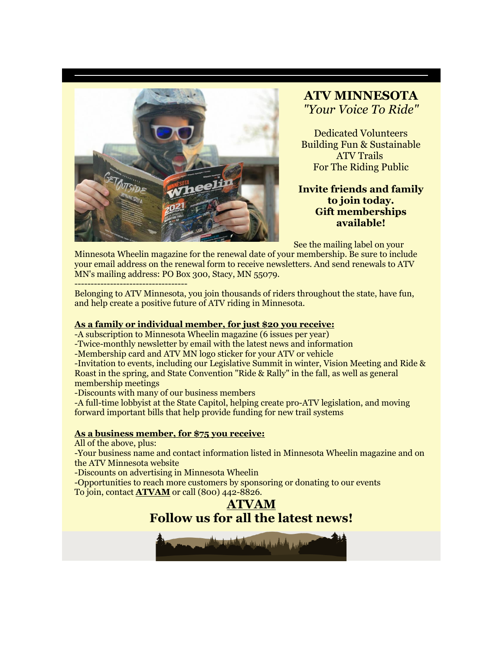

## **ATV MINNESOTA** *"Your Voice To Ride"*

Dedicated Volunteers Building Fun & Sustainable ATV Trails For The Riding Public

#### **Invite friends and family to join today. Gift memberships available!**

See the mailing label on your

Minnesota Wheelin magazine for the renewal date of your membership. Be sure to include your email address on the renewal form to receive newsletters. And send renewals to ATV MN's mailing address: PO Box 300, Stacy, MN 55079.

-----------------------------------

Belonging to ATV Minnesota, you join thousands of riders throughout the state, have fun, and help create a positive future of ATV riding in Minnesota.

#### **[As a family or individual member, for just \\$20](imap://ervin%40kleinschmidts%2Ecom@mail.kleinschmidts.com:993/fetch%3EUID%3E.INBOX%3E172312) you receive:**

-A subscription to Minnesota Wheelin magazine (6 issues per year)

-Twice-monthly newsletter by email with the latest news and information

-Membership card and ATV MN logo sticker for your ATV or vehicle

-Invitation to events, including our Legislative Summit in winter, Vision Meeting and Ride & Roast in the spring, and State Convention "Ride & Rally" in the fall, as well as general membership meetings

-Discounts with many of our business members

-A full-time lobbyist at the State Capitol, helping create pro-ATV legislation, and moving forward important bills that help provide funding for new trail systems

#### **[As a business member, for \\$75 you receive:](imap://ervin%40kleinschmidts%2Ecom@mail.kleinschmidts.com:993/fetch%3EUID%3E.INBOX%3E172312)**

All of the above, plus:

-Your business name and contact information listed in Minnesota Wheelin magazine and on the ATV Minnesota website

-Discounts on advertising in Minnesota Wheelin

-Opportunities to reach more customers by sponsoring or donating to our events To join, contact **[ATVAM](https://r20.rs6.net/tn.jsp?f=001tenV5wXsg6MZktTz21AkYGO0V-YEgXqh8Z4Uco9dtnPTCFGhM2k7rTENeac2dclYuKanQNryGE8uVaJdH0wMfg3zwDSLjB1fwl5kz9ffCkIJr1eN3YR2daPLTbUX2IcPe8LXYEcL5Uw=&c=koaO4B_b1SVQPxA1F4FJEw4Bxu1Jhx7gKVb-M51ix5wgi0lVrSLFRA==&ch=uMP_OlNZvnwNR8TSfqDBDf-Rk-FC4UBTbuTHYXl74VSAyuZMgvWoYA==)** or call (800) 442-8826.



ئىسىدىن بۇ يېرىش بولسىنى ئەس باش بىر ئارىلىدىن ئاسىسى بىر ئاسىسى بىر ئاسىسى ئاسىسى ئىسىنى ئاسىسى ئىسىنى ئىسىنى